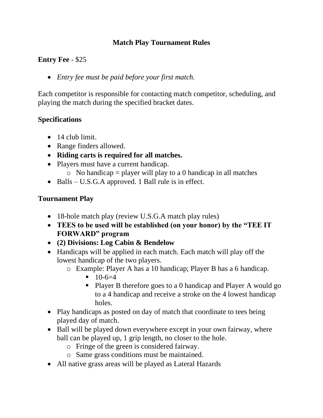### **Match Play Tournament Rules**

### **Entry Fee** - \$25

• *Entry fee must be paid before your first match.*

Each competitor is responsible for contacting match competitor, scheduling, and playing the match during the specified bracket dates.

# **Specifications**

- 14 club limit.
- Range finders allowed.
- **Riding carts is required for all matches.**
- Players must have a current handicap.
	- $\circ$  No handicap = player will play to a 0 handicap in all matches
- Balls U.S.G.A approved. 1 Ball rule is in effect.

# **Tournament Play**

- 18-hole match play (review U.S.G.A match play rules)
- **TEES to be used will be established (on your honor) by the "TEE IT FORWARD" program**
- **(2) Divisions: Log Cabin & Bendelow**
- Handicaps will be applied in each match. Each match will play off the lowest handicap of the two players.
	- o Example: Player A has a 10 handicap; Player B has a 6 handicap.
		- $-10-6=4$
		- Player B therefore goes to a 0 handicap and Player A would go to a 4 handicap and receive a stroke on the 4 lowest handicap holes.
- Play handicaps as posted on day of match that coordinate to tees being played day of match.
- Ball will be played down everywhere except in your own fairway, where ball can be played up, 1 grip length, no closer to the hole.
	- o Fringe of the green is considered fairway.
	- o Same grass conditions must be maintained.
- All native grass areas will be played as Lateral Hazards